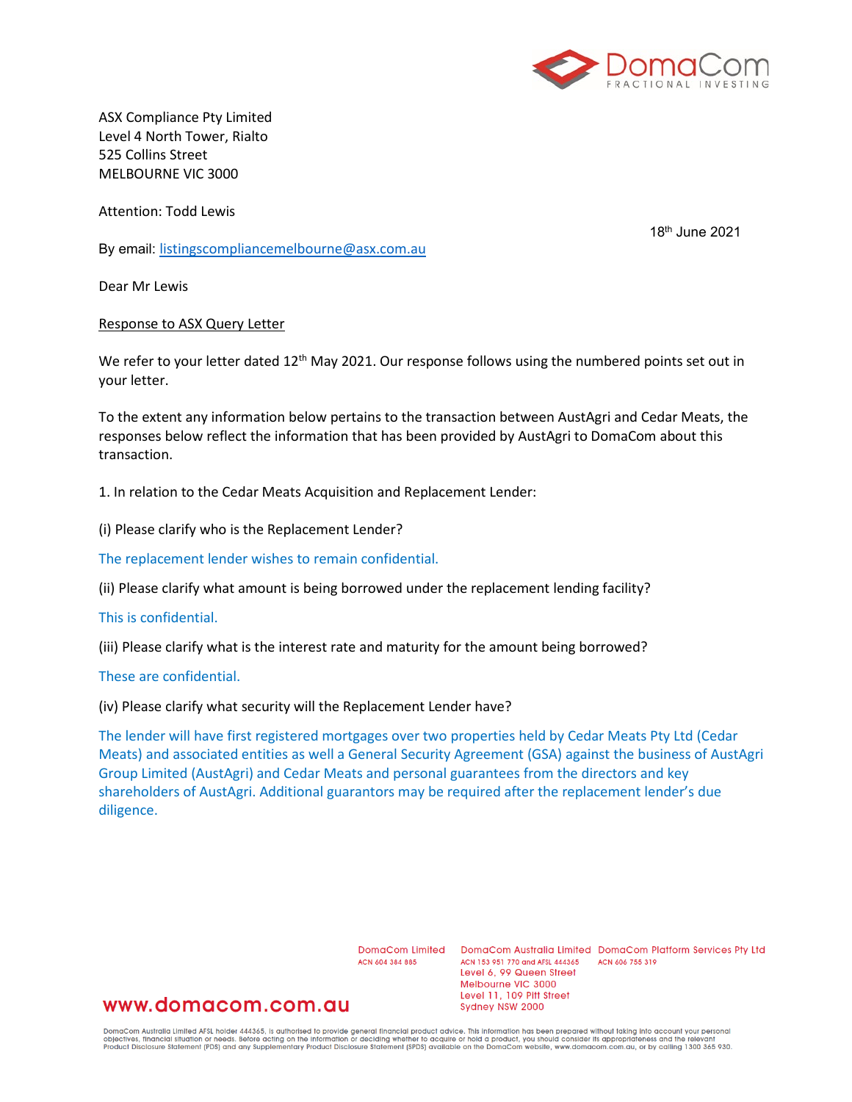

ASX Compliance Pty Limited Level 4 North Tower, Rialto 525 Collins Street MELBOURNE VIC 3000

Attention: Todd Lewis

18th June 2021

By email: [listingscompliancemelbourne@asx.com.au](mailto:listingscompliancemelbourne@asx.com.au)

Dear Mr Lewis

## Response to ASX Query Letter

We refer to your letter dated 12<sup>th</sup> May 2021. Our response follows using the numbered points set out in your letter.

To the extent any information below pertains to the transaction between AustAgri and Cedar Meats, the responses below reflect the information that has been provided by AustAgri to DomaCom about this transaction.

1. In relation to the Cedar Meats Acquisition and Replacement Lender:

(i) Please clarify who is the Replacement Lender?

The replacement lender wishes to remain confidential.

(ii) Please clarify what amount is being borrowed under the replacement lending facility?

# This is confidential.

(iii) Please clarify what is the interest rate and maturity for the amount being borrowed?

These are confidential.

(iv) Please clarify what security will the Replacement Lender have?

The lender will have first registered mortgages over two properties held by Cedar Meats Pty Ltd (Cedar Meats) and associated entities as well a General Security Agreement (GSA) against the business of AustAgri Group Limited (AustAgri) and Cedar Meats and personal guarantees from the directors and key shareholders of AustAgri. Additional guarantors may be required after the replacement lender's due diligence.

ACN 604 384 885

DomaCom Limited DomaCom Australia Limited DomaCom Platform Services Pty Ltd ACN 153 951 770 and AFSL 444365 ACN 606 755 319 Level 6, 99 Queen Street Melbourne VIC 3000 Level 11, 109 Pitt Street Sydney NSW 2000

# www.domacom.com.au

DomaCom Australia Limited AFSL holder 444365, is authorised to provide general financial product advice. This information has been prepared without taking into account your personal<br>objectives, financial situation or needs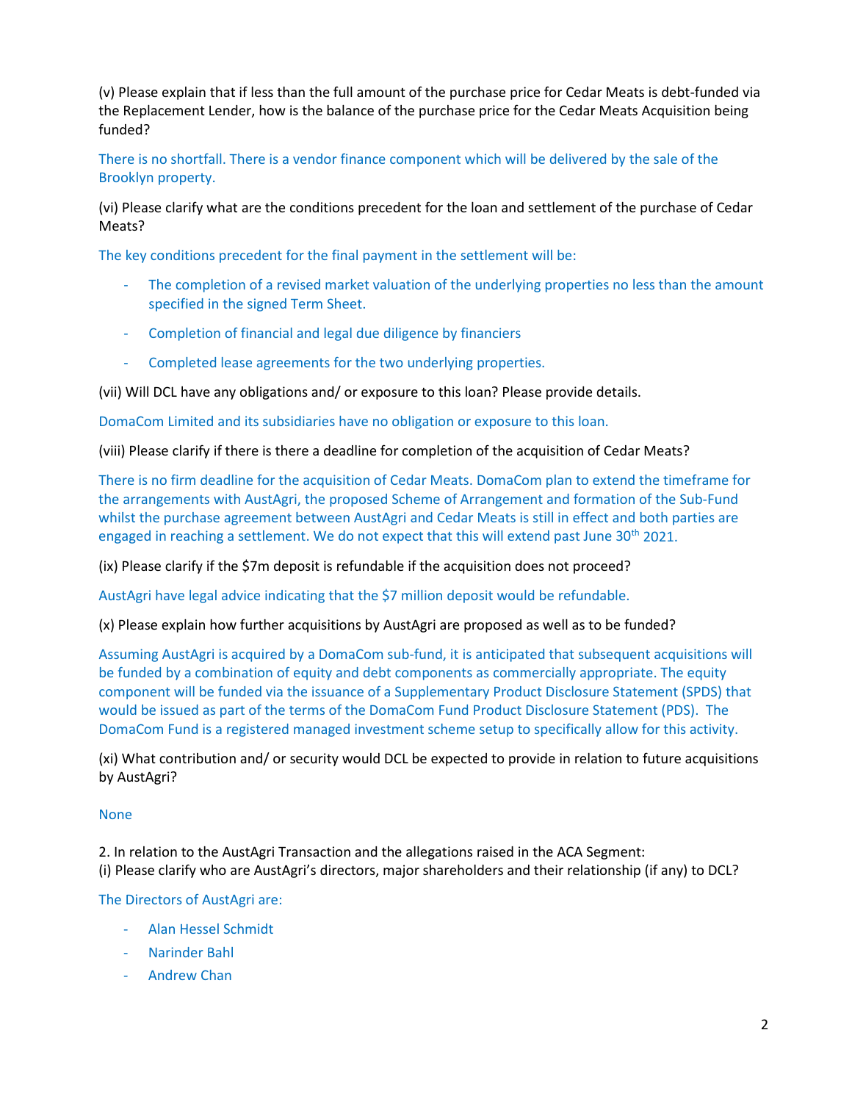(v) Please explain that if less than the full amount of the purchase price for Cedar Meats is debt-funded via the Replacement Lender, how is the balance of the purchase price for the Cedar Meats Acquisition being funded?

There is no shortfall. There is a vendor finance component which will be delivered by the sale of the Brooklyn property.

(vi) Please clarify what are the conditions precedent for the loan and settlement of the purchase of Cedar Meats?

The key conditions precedent for the final payment in the settlement will be:

- The completion of a revised market valuation of the underlying properties no less than the amount specified in the signed Term Sheet.
- Completion of financial and legal due diligence by financiers
- Completed lease agreements for the two underlying properties.

(vii) Will DCL have any obligations and/ or exposure to this loan? Please provide details.

DomaCom Limited and its subsidiaries have no obligation or exposure to this loan.

(viii) Please clarify if there is there a deadline for completion of the acquisition of Cedar Meats?

There is no firm deadline for the acquisition of Cedar Meats. DomaCom plan to extend the timeframe for the arrangements with AustAgri, the proposed Scheme of Arrangement and formation of the Sub-Fund whilst the purchase agreement between AustAgri and Cedar Meats is still in effect and both parties are engaged in reaching a settlement. We do not expect that this will extend past June  $30^{th}$  2021.

(ix) Please clarify if the \$7m deposit is refundable if the acquisition does not proceed?

AustAgri have legal advice indicating that the \$7 million deposit would be refundable.

(x) Please explain how further acquisitions by AustAgri are proposed as well as to be funded?

Assuming AustAgri is acquired by a DomaCom sub-fund, it is anticipated that subsequent acquisitions will be funded by a combination of equity and debt components as commercially appropriate. The equity component will be funded via the issuance of a Supplementary Product Disclosure Statement (SPDS) that would be issued as part of the terms of the DomaCom Fund Product Disclosure Statement (PDS). The DomaCom Fund is a registered managed investment scheme setup to specifically allow for this activity.

(xi) What contribution and/ or security would DCL be expected to provide in relation to future acquisitions by AustAgri?

# None

2. In relation to the AustAgri Transaction and the allegations raised in the ACA Segment: (i) Please clarify who are AustAgri's directors, major shareholders and their relationship (if any) to DCL?

# The Directors of AustAgri are:

- Alan Hessel Schmidt
- Narinder Bahl
- Andrew Chan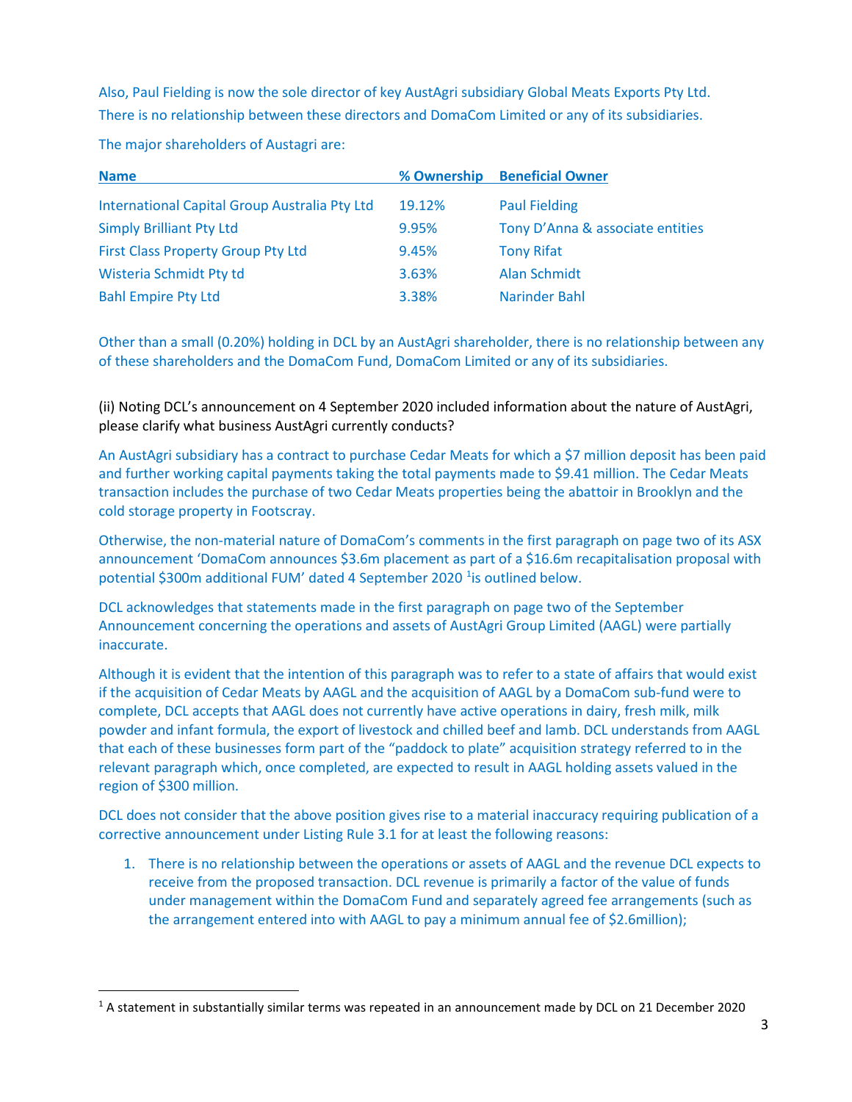Also, Paul Fielding is now the sole director of key AustAgri subsidiary Global Meats Exports Pty Ltd. There is no relationship between these directors and DomaCom Limited or any of its subsidiaries.

| <b>Name</b>                                   | % Ownership | <b>Beneficial Owner</b>          |
|-----------------------------------------------|-------------|----------------------------------|
| International Capital Group Australia Pty Ltd | 19.12%      | <b>Paul Fielding</b>             |
| <b>Simply Brilliant Pty Ltd</b>               | 9.95%       | Tony D'Anna & associate entities |
| First Class Property Group Pty Ltd            | 9.45%       | <b>Tony Rifat</b>                |
| Wisteria Schmidt Pty td                       | 3.63%       | Alan Schmidt                     |
| <b>Bahl Empire Pty Ltd</b>                    | 3.38%       | Narinder Bahl                    |

The major shareholders of Austagri are:

Other than a small (0.20%) holding in DCL by an AustAgri shareholder, there is no relationship between any of these shareholders and the DomaCom Fund, DomaCom Limited or any of its subsidiaries.

(ii) Noting DCL's announcement on 4 September 2020 included information about the nature of AustAgri, please clarify what business AustAgri currently conducts?

An AustAgri subsidiary has a contract to purchase Cedar Meats for which a \$7 million deposit has been paid and further working capital payments taking the total payments made to \$9.41 million. The Cedar Meats transaction includes the purchase of two Cedar Meats properties being the abattoir in Brooklyn and the cold storage property in Footscray.

Otherwise, the non-material nature of DomaCom's comments in the first paragraph on page two of its ASX announcement 'DomaCom announces \$3.6m placement as part of a \$16.6m recapitalisation proposal with potential \$300m additional FUM' dated 4 September 2020 <sup>[1](#page-2-0)</sup>is outlined below.

DCL acknowledges that statements made in the first paragraph on page two of the September Announcement concerning the operations and assets of AustAgri Group Limited (AAGL) were partially inaccurate.

Although it is evident that the intention of this paragraph was to refer to a state of affairs that would exist if the acquisition of Cedar Meats by AAGL and the acquisition of AAGL by a DomaCom sub-fund were to complete, DCL accepts that AAGL does not currently have active operations in dairy, fresh milk, milk powder and infant formula, the export of livestock and chilled beef and lamb. DCL understands from AAGL that each of these businesses form part of the "paddock to plate" acquisition strategy referred to in the relevant paragraph which, once completed, are expected to result in AAGL holding assets valued in the region of \$300 million.

DCL does not consider that the above position gives rise to a material inaccuracy requiring publication of a corrective announcement under Listing Rule 3.1 for at least the following reasons:

1. There is no relationship between the operations or assets of AAGL and the revenue DCL expects to receive from the proposed transaction. DCL revenue is primarily a factor of the value of funds under management within the DomaCom Fund and separately agreed fee arrangements (such as the arrangement entered into with AAGL to pay a minimum annual fee of \$2.6million);

<span id="page-2-0"></span><sup>1</sup> A statement in substantially similar terms was repeated in an announcement made by DCL on 21 December 2020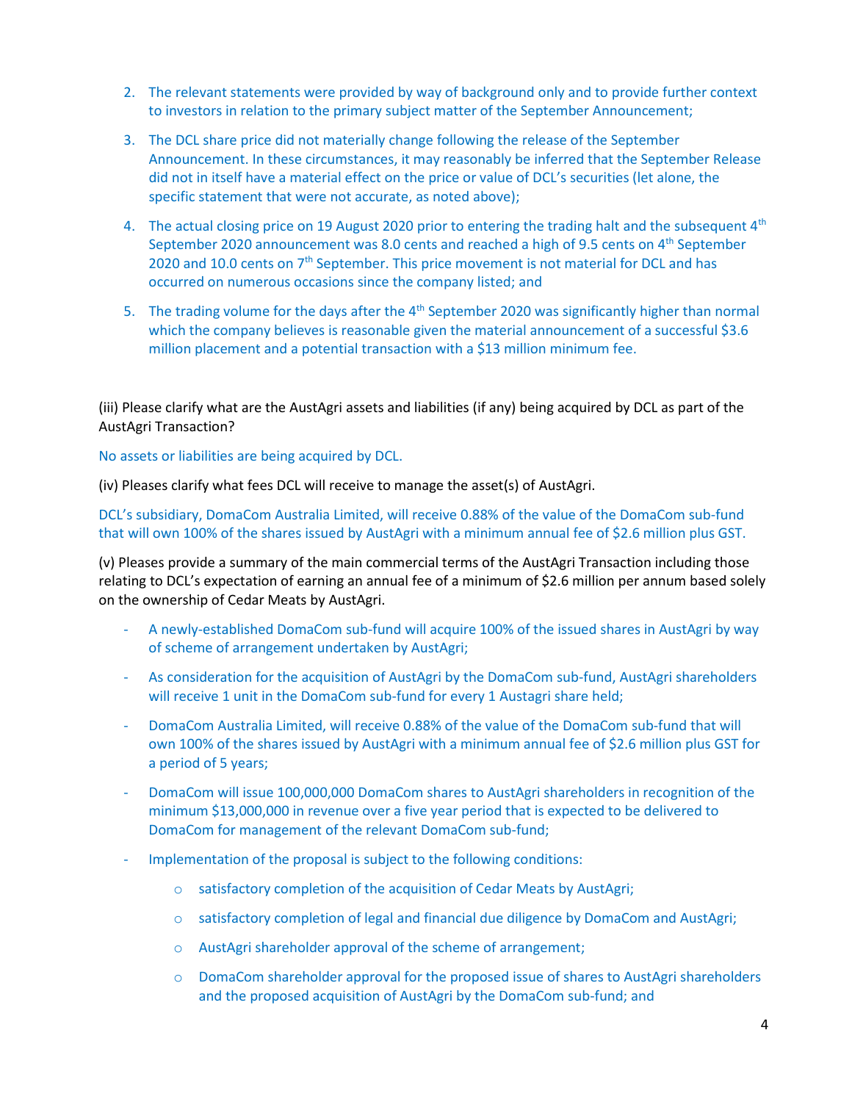- 2. The relevant statements were provided by way of background only and to provide further context to investors in relation to the primary subject matter of the September Announcement;
- 3. The DCL share price did not materially change following the release of the September Announcement. In these circumstances, it may reasonably be inferred that the September Release did not in itself have a material effect on the price or value of DCL's securities (let alone, the specific statement that were not accurate, as noted above);
- 4. The actual closing price on 19 August 2020 prior to entering the trading halt and the subsequent  $4<sup>th</sup>$ September 2020 announcement was 8.0 cents and reached a high of 9.5 cents on 4<sup>th</sup> September 2020 and 10.0 cents on 7<sup>th</sup> September. This price movement is not material for DCL and has occurred on numerous occasions since the company listed; and
- 5. The trading volume for the days after the  $4<sup>th</sup>$  September 2020 was significantly higher than normal which the company believes is reasonable given the material announcement of a successful \$3.6 million placement and a potential transaction with a \$13 million minimum fee.

(iii) Please clarify what are the AustAgri assets and liabilities (if any) being acquired by DCL as part of the AustAgri Transaction?

No assets or liabilities are being acquired by DCL.

(iv) Pleases clarify what fees DCL will receive to manage the asset(s) of AustAgri.

DCL's subsidiary, DomaCom Australia Limited, will receive 0.88% of the value of the DomaCom sub-fund that will own 100% of the shares issued by AustAgri with a minimum annual fee of \$2.6 million plus GST.

(v) Pleases provide a summary of the main commercial terms of the AustAgri Transaction including those relating to DCL's expectation of earning an annual fee of a minimum of \$2.6 million per annum based solely on the ownership of Cedar Meats by AustAgri.

- A newly-established DomaCom sub-fund will acquire 100% of the issued shares in AustAgri by way of scheme of arrangement undertaken by AustAgri;
- As consideration for the acquisition of AustAgri by the DomaCom sub-fund, AustAgri shareholders will receive 1 unit in the DomaCom sub-fund for every 1 Austagri share held;
- DomaCom Australia Limited, will receive 0.88% of the value of the DomaCom sub-fund that will own 100% of the shares issued by AustAgri with a minimum annual fee of \$2.6 million plus GST for a period of 5 years;
- DomaCom will issue 100,000,000 DomaCom shares to AustAgri shareholders in recognition of the minimum \$13,000,000 in revenue over a five year period that is expected to be delivered to DomaCom for management of the relevant DomaCom sub-fund;
- Implementation of the proposal is subject to the following conditions:
	- o satisfactory completion of the acquisition of Cedar Meats by AustAgri;
	- o satisfactory completion of legal and financial due diligence by DomaCom and AustAgri;
	- o AustAgri shareholder approval of the scheme of arrangement;
	- o DomaCom shareholder approval for the proposed issue of shares to AustAgri shareholders and the proposed acquisition of AustAgri by the DomaCom sub-fund; and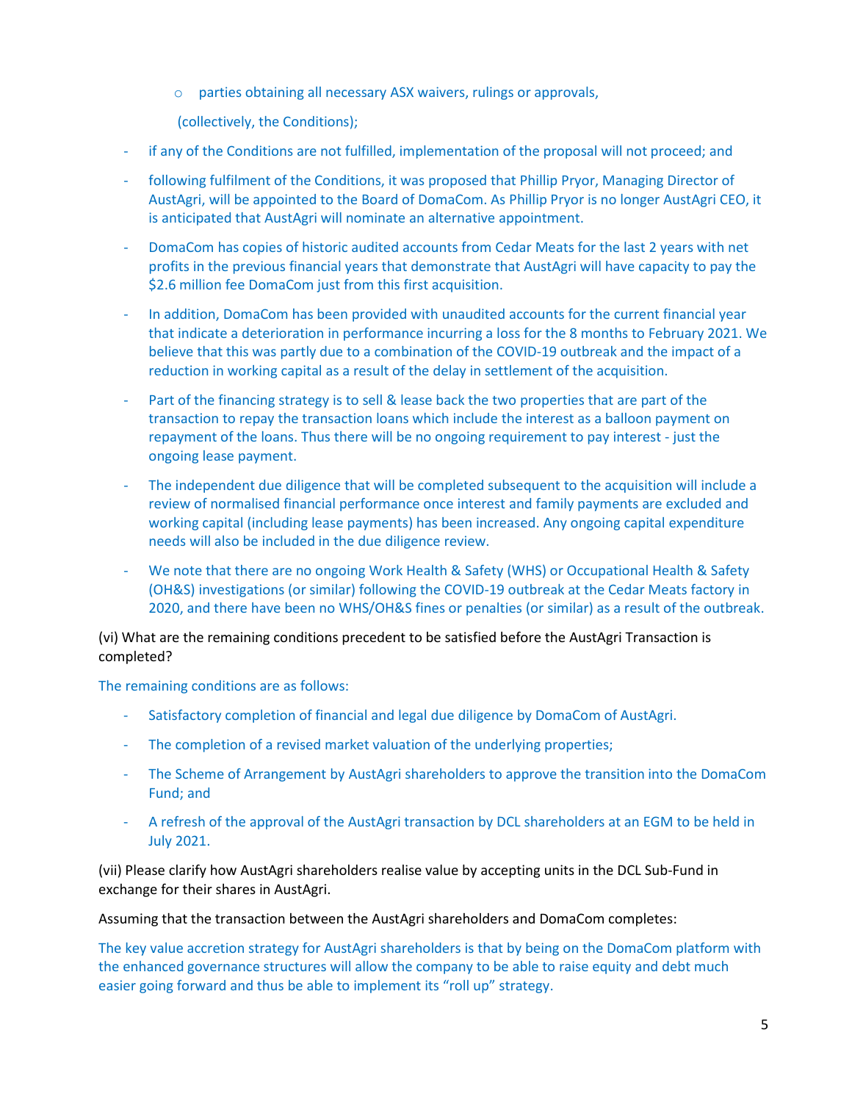o parties obtaining all necessary ASX waivers, rulings or approvals,

(collectively, the Conditions);

- if any of the Conditions are not fulfilled, implementation of the proposal will not proceed; and
- following fulfilment of the Conditions, it was proposed that Phillip Pryor, Managing Director of AustAgri, will be appointed to the Board of DomaCom. As Phillip Pryor is no longer AustAgri CEO, it is anticipated that AustAgri will nominate an alternative appointment.
- DomaCom has copies of historic audited accounts from Cedar Meats for the last 2 years with net profits in the previous financial years that demonstrate that AustAgri will have capacity to pay the \$2.6 million fee DomaCom just from this first acquisition.
- In addition, DomaCom has been provided with unaudited accounts for the current financial year that indicate a deterioration in performance incurring a loss for the 8 months to February 2021. We believe that this was partly due to a combination of the COVID-19 outbreak and the impact of a reduction in working capital as a result of the delay in settlement of the acquisition.
- Part of the financing strategy is to sell & lease back the two properties that are part of the transaction to repay the transaction loans which include the interest as a balloon payment on repayment of the loans. Thus there will be no ongoing requirement to pay interest - just the ongoing lease payment.
- The independent due diligence that will be completed subsequent to the acquisition will include a review of normalised financial performance once interest and family payments are excluded and working capital (including lease payments) has been increased. Any ongoing capital expenditure needs will also be included in the due diligence review.
- We note that there are no ongoing Work Health & Safety (WHS) or Occupational Health & Safety (OH&S) investigations (or similar) following the COVID-19 outbreak at the Cedar Meats factory in 2020, and there have been no WHS/OH&S fines or penalties (or similar) as a result of the outbreak.

(vi) What are the remaining conditions precedent to be satisfied before the AustAgri Transaction is completed?

The remaining conditions are as follows:

- Satisfactory completion of financial and legal due diligence by DomaCom of AustAgri.
- The completion of a revised market valuation of the underlying properties;
- The Scheme of Arrangement by AustAgri shareholders to approve the transition into the DomaCom Fund; and
- A refresh of the approval of the AustAgri transaction by DCL shareholders at an EGM to be held in July 2021.

(vii) Please clarify how AustAgri shareholders realise value by accepting units in the DCL Sub-Fund in exchange for their shares in AustAgri.

Assuming that the transaction between the AustAgri shareholders and DomaCom completes:

The key value accretion strategy for AustAgri shareholders is that by being on the DomaCom platform with the enhanced governance structures will allow the company to be able to raise equity and debt much easier going forward and thus be able to implement its "roll up" strategy.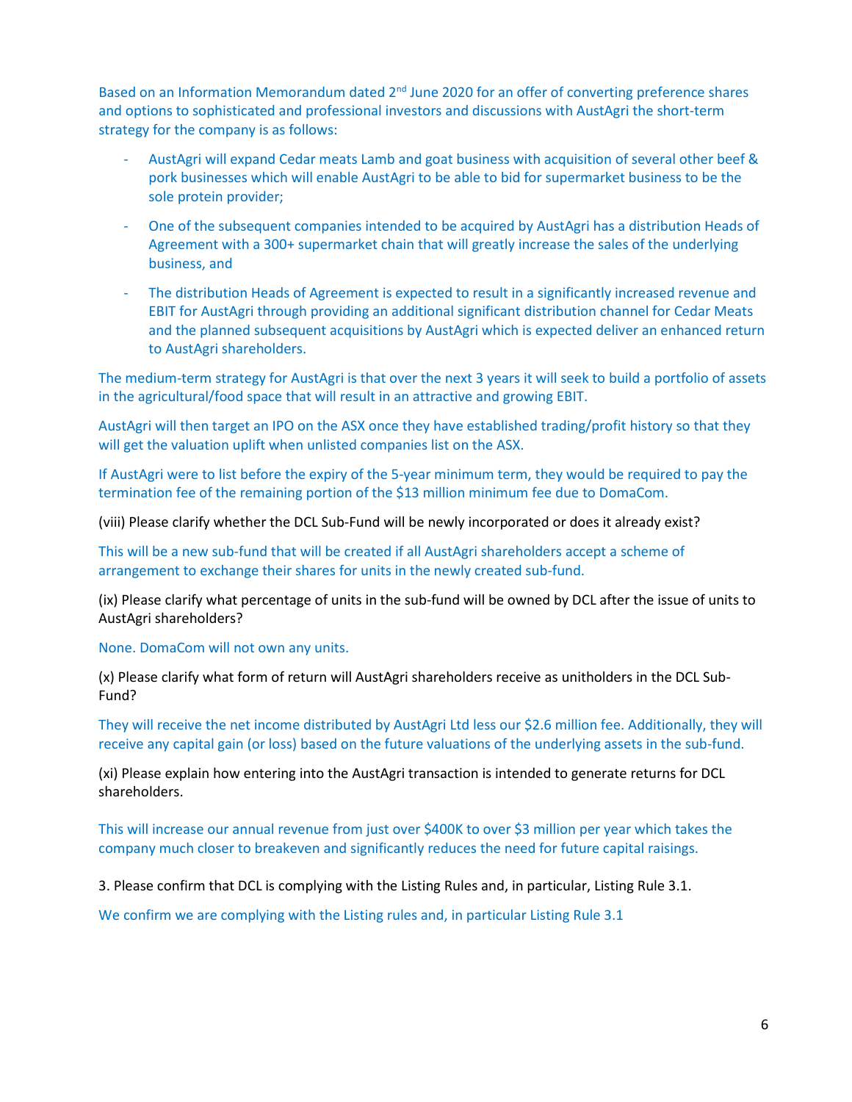Based on an Information Memorandum dated 2<sup>nd</sup> June 2020 for an offer of converting preference shares and options to sophisticated and professional investors and discussions with AustAgri the short-term strategy for the company is as follows:

- AustAgri will expand Cedar meats Lamb and goat business with acquisition of several other beef & pork businesses which will enable AustAgri to be able to bid for supermarket business to be the sole protein provider;
- One of the subsequent companies intended to be acquired by AustAgri has a distribution Heads of Agreement with a 300+ supermarket chain that will greatly increase the sales of the underlying business, and
- The distribution Heads of Agreement is expected to result in a significantly increased revenue and EBIT for AustAgri through providing an additional significant distribution channel for Cedar Meats and the planned subsequent acquisitions by AustAgri which is expected deliver an enhanced return to AustAgri shareholders.

The medium-term strategy for AustAgri is that over the next 3 years it will seek to build a portfolio of assets in the agricultural/food space that will result in an attractive and growing EBIT.

AustAgri will then target an IPO on the ASX once they have established trading/profit history so that they will get the valuation uplift when unlisted companies list on the ASX.

If AustAgri were to list before the expiry of the 5-year minimum term, they would be required to pay the termination fee of the remaining portion of the \$13 million minimum fee due to DomaCom.

(viii) Please clarify whether the DCL Sub-Fund will be newly incorporated or does it already exist?

This will be a new sub-fund that will be created if all AustAgri shareholders accept a scheme of arrangement to exchange their shares for units in the newly created sub-fund.

(ix) Please clarify what percentage of units in the sub-fund will be owned by DCL after the issue of units to AustAgri shareholders?

None. DomaCom will not own any units.

(x) Please clarify what form of return will AustAgri shareholders receive as unitholders in the DCL Sub-Fund?

They will receive the net income distributed by AustAgri Ltd less our \$2.6 million fee. Additionally, they will receive any capital gain (or loss) based on the future valuations of the underlying assets in the sub-fund.

(xi) Please explain how entering into the AustAgri transaction is intended to generate returns for DCL shareholders.

This will increase our annual revenue from just over \$400K to over \$3 million per year which takes the company much closer to breakeven and significantly reduces the need for future capital raisings.

3. Please confirm that DCL is complying with the Listing Rules and, in particular, Listing Rule 3.1.

We confirm we are complying with the Listing rules and, in particular Listing Rule 3.1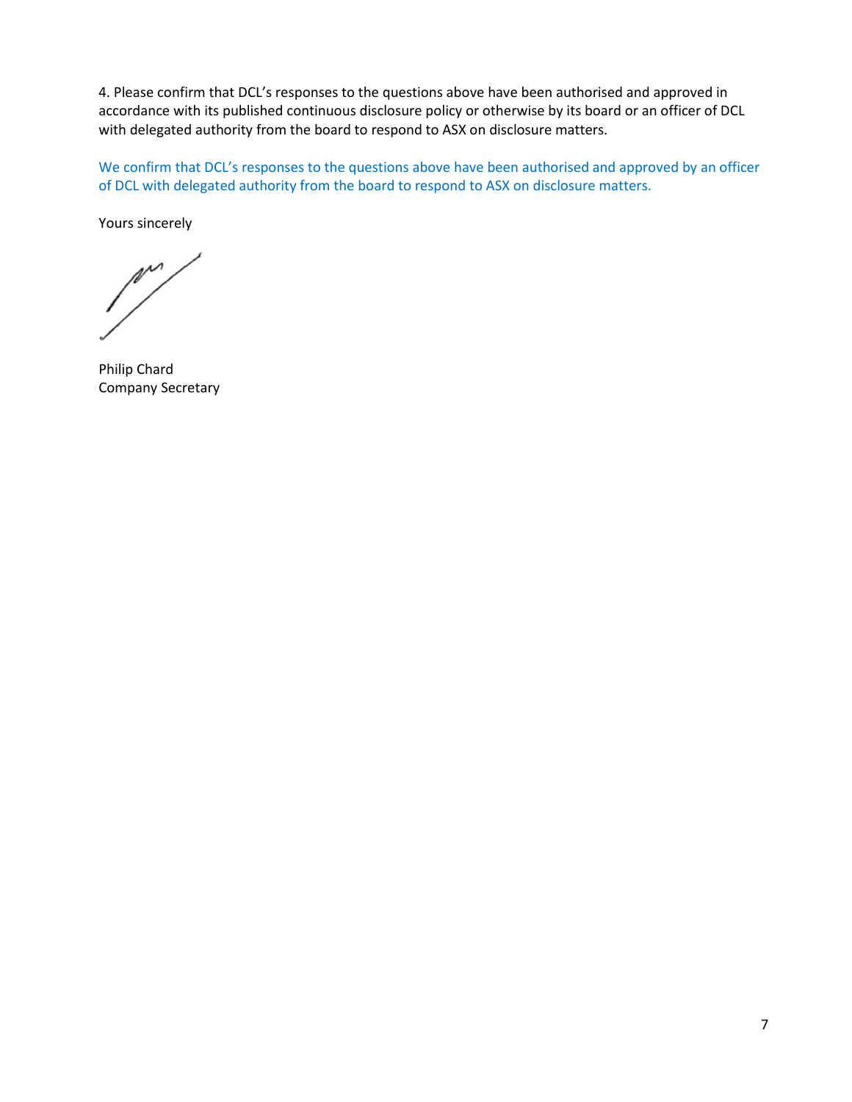4. Please confirm that DCL's responses to the questions above have been authorised and approved in accordance with its published continuous disclosure policy or otherwise by its board or an officer of DCL with delegated authority from the board to respond to ASX on disclosure matters.

We confirm that DCL's responses to the questions above have been authorised and approved by an officer of DCL with delegated authority from the board to respond to ASX on disclosure matters.

Yours sincerely

m

Philip Chard Company Secretary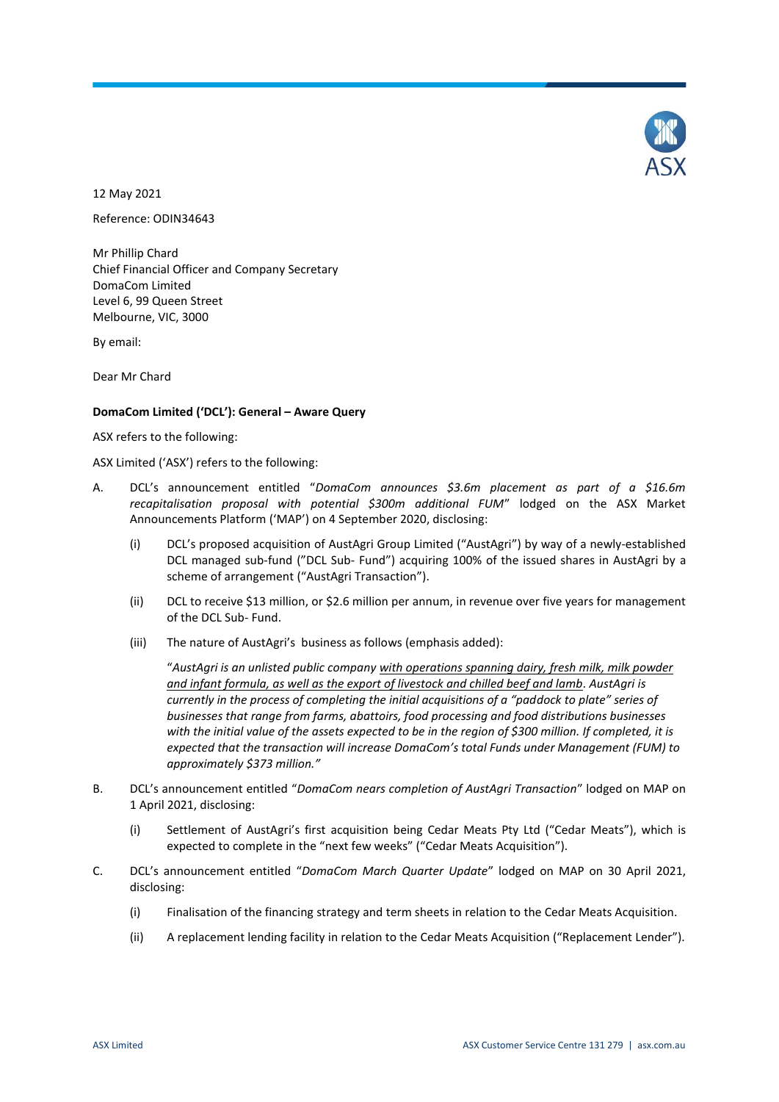

12 May 2021

Reference: ODIN34643

Mr Phillip Chard Chief Financial Officer and Company Secretary DomaCom Limited Level 6, 99 Queen Street Melbourne, VIC, 3000

By email:

Dear Mr Chard

## **DomaCom Limited ('DCL'): General – Aware Query**

#### ASX refers to the following:

ASX Limited ('ASX') refers to the following:

- A. DCL's announcement entitled "*DomaCom announces \$3.6m placement as part of a \$16.6m recapitalisation proposal with potential \$300m additional FUM*" lodged on the ASX Market Announcements Platform ('MAP') on 4 September 2020, disclosing:
	- (i) DCL's proposed acquisition of AustAgri Group Limited ("AustAgri") by way of a newly-established DCL managed sub-fund ("DCL Sub- Fund") acquiring 100% of the issued shares in AustAgri by a scheme of arrangement ("AustAgri Transaction").
	- (ii) DCL to receive \$13 million, or \$2.6 million per annum, in revenue over five years for management of the DCL Sub- Fund.
	- (iii) The nature of AustAgri's business as follows (emphasis added):

"*AustAgri is an unlisted public company with operations spanning dairy, fresh milk, milk powder and infant formula, as well as the export of livestock and chilled beef and lamb. AustAgri is currently in the process of completing the initial acquisitions of a "paddock to plate" series of businesses that range from farms, abattoirs, food processing and food distributions businesses with the initial value of the assets expected to be in the region of \$300 million. If completed, it is expected that the transaction will increase DomaCom's total Funds under Management (FUM) to approximately \$373 million."*

- B. DCL's announcement entitled "*DomaCom nears completion of AustAgri Transaction*" lodged on MAP on 1 April 2021, disclosing:
	- (i) Settlement of AustAgri's first acquisition being Cedar Meats Pty Ltd ("Cedar Meats"), which is expected to complete in the "next few weeks" ("Cedar Meats Acquisition").
- C. DCL's announcement entitled "*DomaCom March Quarter Update*" lodged on MAP on 30 April 2021, disclosing:
	- (i) Finalisation of the financing strategy and term sheets in relation to the Cedar Meats Acquisition.
	- (ii) A replacement lending facility in relation to the Cedar Meats Acquisition ("Replacement Lender").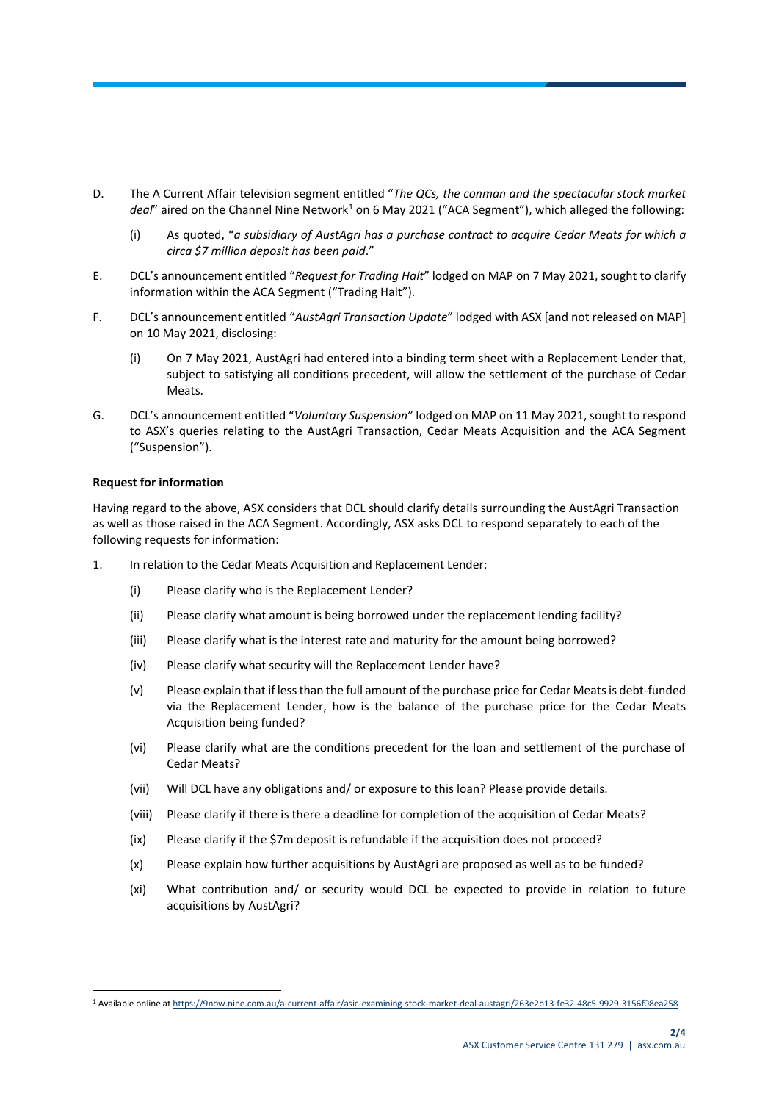- D. The A Current Affair television segment entitled "*The QCs, the conman and the spectacular stock market*  deal" aired on the Channel Nine Network<sup>1</sup> on 6 May 2021 ("ACA Segment"), which alleged the following:
	- (i) As quoted, "*a subsidiary of AustAgri has a purchase contract to acquire Cedar Meats for which a circa \$7 million deposit has been paid*."
- E. DCL's announcement entitled "*Request for Trading Halt*" lodged on MAP on 7 May 2021, sought to clarify information within the ACA Segment ("Trading Halt").
- F. DCL's announcement entitled "*AustAgri Transaction Update*" lodged with ASX [and not released on MAP] on 10 May 2021, disclosing:
	- (i) On 7 May 2021, AustAgri had entered into a binding term sheet with a Replacement Lender that, subject to satisfying all conditions precedent, will allow the settlement of the purchase of Cedar Meats.
- G. DCL's announcement entitled "*Voluntary Suspension*" lodged on MAP on 11 May 2021, sought to respond to ASX's queries relating to the AustAgri Transaction, Cedar Meats Acquisition and the ACA Segment ("Suspension").

#### **Request for information**

 $\overline{a}$ 

Having regard to the above, ASX considers that DCL should clarify details surrounding the AustAgri Transaction as well as those raised in the ACA Segment. Accordingly, ASX asks DCL to respond separately to each of the following requests for information:

- 1. In relation to the Cedar Meats Acquisition and Replacement Lender:
	- (i) Please clarify who is the Replacement Lender?
	- (ii) Please clarify what amount is being borrowed under the replacement lending facility?
	- (iii) Please clarify what is the interest rate and maturity for the amount being borrowed?
	- (iv) Please clarify what security will the Replacement Lender have?
	- (v) Please explain that if less than the full amount of the purchase price for Cedar Meats is debt-funded via the Replacement Lender, how is the balance of the purchase price for the Cedar Meats Acquisition being funded?
	- (vi) Please clarify what are the conditions precedent for the loan and settlement of the purchase of Cedar Meats?
	- (vii) Will DCL have any obligations and/ or exposure to this loan? Please provide details.
	- (viii) Please clarify if there is there a deadline for completion of the acquisition of Cedar Meats?
	- (ix) Please clarify if the \$7m deposit is refundable if the acquisition does not proceed?
	- (x) Please explain how further acquisitions by AustAgri are proposed as well as to be funded?
	- (xi) What contribution and/ or security would DCL be expected to provide in relation to future acquisitions by AustAgri?

<sup>1</sup> Available online a[t https://9now.nine.com.au/a-current-affair/asic-examining-stock-market-deal-austagri/263e2b13-fe32-48c5-9929-3156f08ea258](https://9now.nine.com.au/a-current-affair/asic-examining-stock-market-deal-austagri/263e2b13-fe32-48c5-9929-3156f08ea258)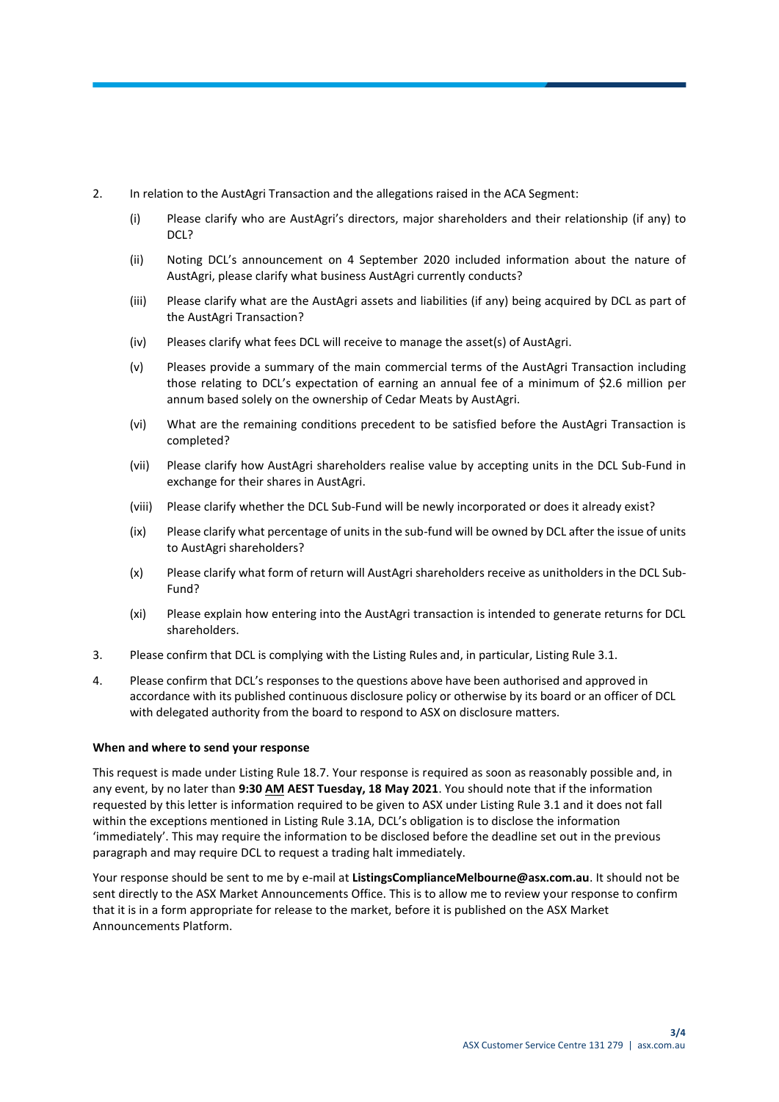- 2. In relation to the AustAgri Transaction and the allegations raised in the ACA Segment:
	- (i) Please clarify who are AustAgri's directors, major shareholders and their relationship (if any) to DCL?
	- (ii) Noting DCL's announcement on 4 September 2020 included information about the nature of AustAgri, please clarify what business AustAgri currently conducts?
	- (iii) Please clarify what are the AustAgri assets and liabilities (if any) being acquired by DCL as part of the AustAgri Transaction?
	- (iv) Pleases clarify what fees DCL will receive to manage the asset(s) of AustAgri.
	- (v) Pleases provide a summary of the main commercial terms of the AustAgri Transaction including those relating to DCL's expectation of earning an annual fee of a minimum of \$2.6 million per annum based solely on the ownership of Cedar Meats by AustAgri.
	- (vi) What are the remaining conditions precedent to be satisfied before the AustAgri Transaction is completed?
	- (vii) Please clarify how AustAgri shareholders realise value by accepting units in the DCL Sub-Fund in exchange for their shares in AustAgri.
	- (viii) Please clarify whether the DCL Sub-Fund will be newly incorporated or does it already exist?
	- (ix) Please clarify what percentage of units in the sub-fund will be owned by DCL after the issue of units to AustAgri shareholders?
	- (x) Please clarify what form of return will AustAgri shareholders receive as unitholders in the DCL Sub-Fund?
	- (xi) Please explain how entering into the AustAgri transaction is intended to generate returns for DCL shareholders.
- 3. Please confirm that DCL is complying with the Listing Rules and, in particular, Listing Rule 3.1.
- 4. Please confirm that DCL's responses to the questions above have been authorised and approved in accordance with its published continuous disclosure policy or otherwise by its board or an officer of DCL with delegated authority from the board to respond to ASX on disclosure matters.

#### **When and where to send your response**

This request is made under Listing Rule 18.7. Your response is required as soon as reasonably possible and, in any event, by no later than **9:30 AM AEST Tuesday, 18 May 2021**. You should note that if the information requested by this letter is information required to be given to ASX under Listing Rule 3.1 and it does not fall within the exceptions mentioned in Listing Rule 3.1A, DCL's obligation is to disclose the information 'immediately'. This may require the information to be disclosed before the deadline set out in the previous paragraph and may require DCL to request a trading halt immediately.

Your response should be sent to me by e-mail at **ListingsComplianceMelbourne@asx.com.au**. It should not be sent directly to the ASX Market Announcements Office. This is to allow me to review your response to confirm that it is in a form appropriate for release to the market, before it is published on the ASX Market Announcements Platform.